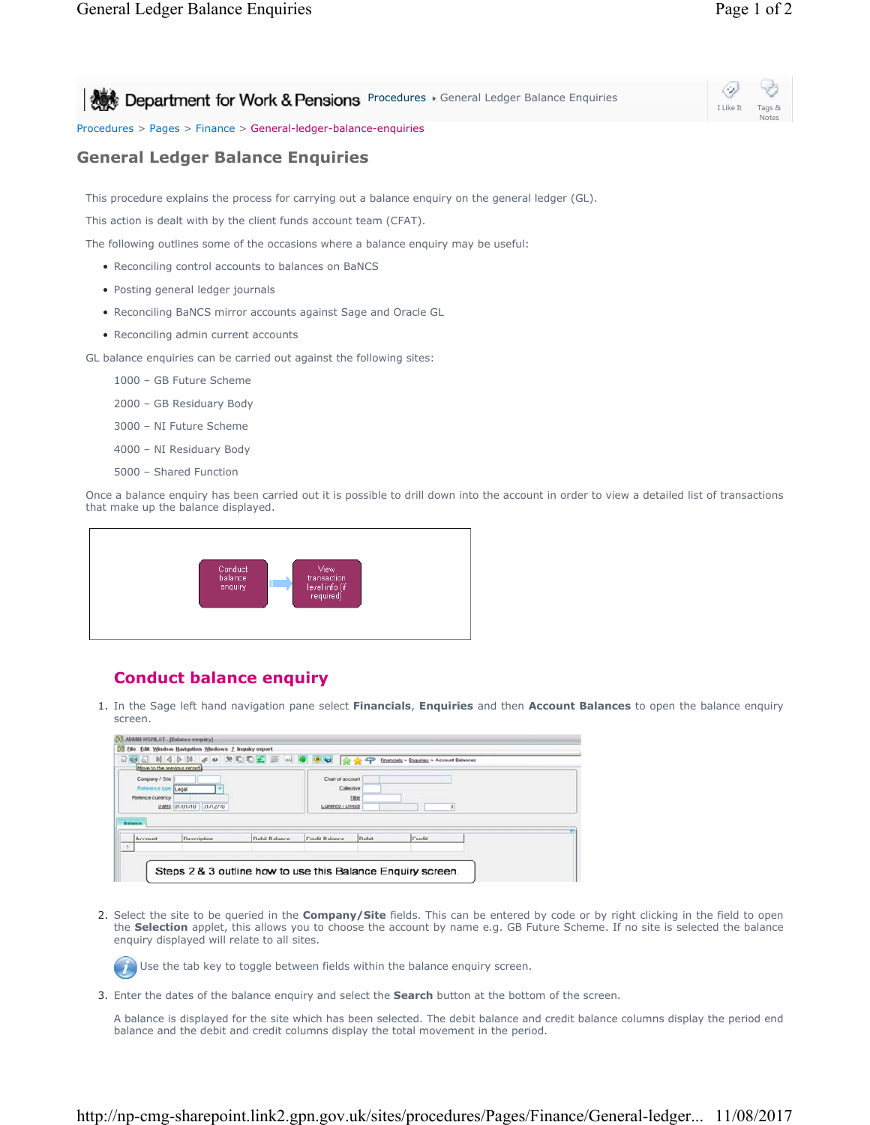## Procedures > Pages > Finance > General-ledger-balance-enquiries

## **General Ledger Balance Enquiries**

This procedure explains the process for carrying out a balance enquiry on the general ledger (GL).

This action is dealt with by the client funds account team (CFAT).

The following outlines some of the occasions where a balance enquiry may be useful:

- Reconciling control accounts to balances on BaNCS
- Posting general ledger journals
- Reconciling BaNCS mirror accounts against Sage and Oracle GL
- Reconciling admin current accounts

GL balance enquiries can be carried out against the following sites:

- 1000 GB Future Scheme
- 2000 GB Residuary Body
- 3000 NI Future Scheme
- 4000 NI Residuary Body
- 5000 Shared Function

Once a balance enquiry has been carried out it is possible to drill down into the account in order to view a detailed list of transactions that make up the balance displayed.



## **Conduct balance enquiry**

1. In the Sage left hand navigation pane select **Financials, Enquiries** and then **Account Balances** to open the balance enquiry screen.

| Move to the previous record                                                   | ROA N 4 D M & O X D D L H & O O U Q O C |               |                                                      |        | Financials > Enquiries > Account Balances |  |
|-------------------------------------------------------------------------------|-----------------------------------------|---------------|------------------------------------------------------|--------|-------------------------------------------|--|
| Company / Site<br>Reference type Legal<br>Referice currency<br><b>Balance</b> | Dates 01/01/10 31/12/10                 |               | Chart of account<br>Collective<br>Currency / Divisor | Filter | O)                                        |  |
| Account                                                                       | Description                             | Debit Balance | Credit Balance                                       | Debit  | Credit                                    |  |

2. Select the site to be queried in the **Company/Site** fields. This can be entered by code or by right clicking in the field to open the **Selection** applet, this allows you to choose the account by name e.g. GB Future Scheme. If no site is selected the balance enquiry displayed will relate to all sites.

Use the tab key to toggle between fields within the balance enquiry screen.

3. Enter the dates of the balance enquiry and select the **Search** button at the bottom of the screen.

A balance is displayed for the site which has been selected. The debit balance and credit balance columns display the period end balance and the debit and credit columns display the total movement in the period.

Notes

I Like It

⇔